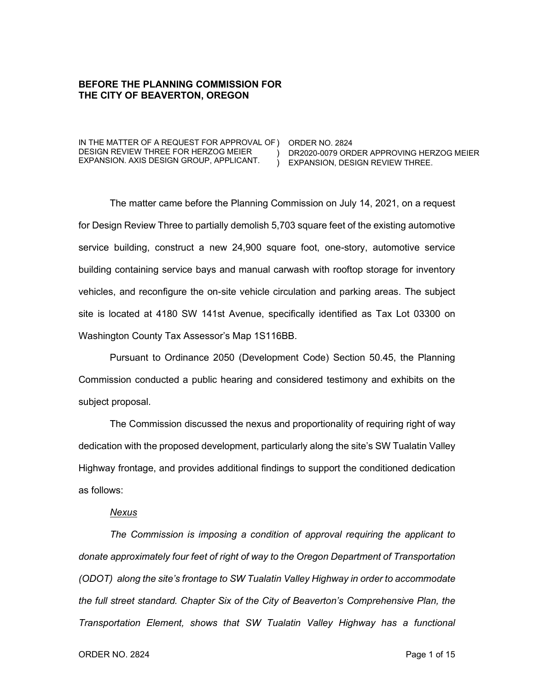### **BEFORE THE PLANNING COMMISSION FOR THE CITY OF BEAVERTON, OREGON**

IN THE MATTER OF A REQUEST FOR APPROVAL OF ) ORDER NO. 2824 DESIGN REVIEW THREE FOR HERZOG MEIER EXPANSION. AXIS DESIGN GROUP, APPLICANT.

) DR2020-0079 ORDER APPROVING HERZOG MEIER ) EXPANSION, DESIGN REVIEW THREE.

The matter came before the Planning Commission on July 14, 2021, on a request for Design Review Three to partially demolish 5,703 square feet of the existing automotive service building, construct a new 24,900 square foot, one-story, automotive service building containing service bays and manual carwash with rooftop storage for inventory vehicles, and reconfigure the on-site vehicle circulation and parking areas. The subject site is located at 4180 SW 141st Avenue, specifically identified as Tax Lot 03300 on Washington County Tax Assessor's Map 1S116BB.

Pursuant to Ordinance 2050 (Development Code) Section 50.45, the Planning Commission conducted a public hearing and considered testimony and exhibits on the subject proposal.

The Commission discussed the nexus and proportionality of requiring right of way dedication with the proposed development, particularly along the site's SW Tualatin Valley Highway frontage, and provides additional findings to support the conditioned dedication as follows:

#### *Nexus*

*The Commission is imposing a condition of approval requiring the applicant to donate approximately four feet of right of way to the Oregon Department of Transportation (ODOT) along the site's frontage to SW Tualatin Valley Highway in order to accommodate the full street standard. Chapter Six of the City of Beaverton's Comprehensive Plan, the Transportation Element, shows that SW Tualatin Valley Highway has a functional*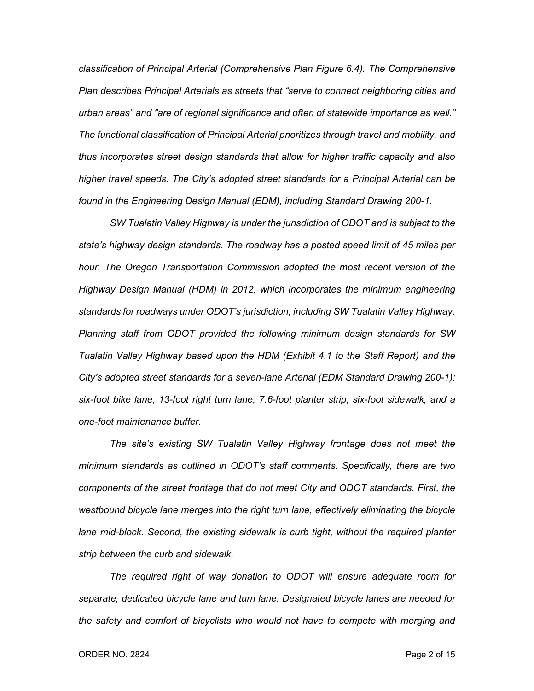*classification of Principal Arterial (Comprehensive Plan Figure 6.4). The Comprehensive Plan describes Principal Arterials as streets that "serve to connect neighboring cities and urban areas" and "are of regional significance and often of statewide importance as well." The functional classification of Principal Arterial prioritizes through travel and mobility, and thus incorporates street design standards that allow for higher traffic capacity and also higher travel speeds. The City's adopted street standards for a Principal Arterial can be found in the Engineering Design Manual (EDM), including Standard Drawing 200-1.*

*SW Tualatin Valley Highway is under the jurisdiction of ODOT and is subject to the state's highway design standards. The roadway has a posted speed limit of 45 miles per hour. The Oregon Transportation Commission adopted the most recent version of the Highway Design Manual (HDM) in 2012, which incorporates the minimum engineering standards for roadways under ODOT's jurisdiction, including SW Tualatin Valley Highway. Planning staff from ODOT provided the following minimum design standards for SW Tualatin Valley Highway based upon the HDM (Exhibit 4.1 to the Staff Report) and the City's adopted street standards for a seven-lane Arterial (EDM Standard Drawing 200-1): six-foot bike lane, 13-foot right turn lane, 7.6-foot planter strip, six-foot sidewalk, and a one-foot maintenance buffer.*

*The site's existing SW Tualatin Valley Highway frontage does not meet the minimum standards as outlined in ODOT's staff comments. Specifically, there are two components of the street frontage that do not meet City and ODOT standards. First, the westbound bicycle lane merges into the right turn lane, effectively eliminating the bicycle*  lane mid-block. Second, the existing sidewalk is curb tight, without the required planter *strip between the curb and sidewalk.*

*The required right of way donation to ODOT will ensure adequate room for separate, dedicated bicycle lane and turn lane. Designated bicycle lanes are needed for the safety and comfort of bicyclists who would not have to compete with merging and*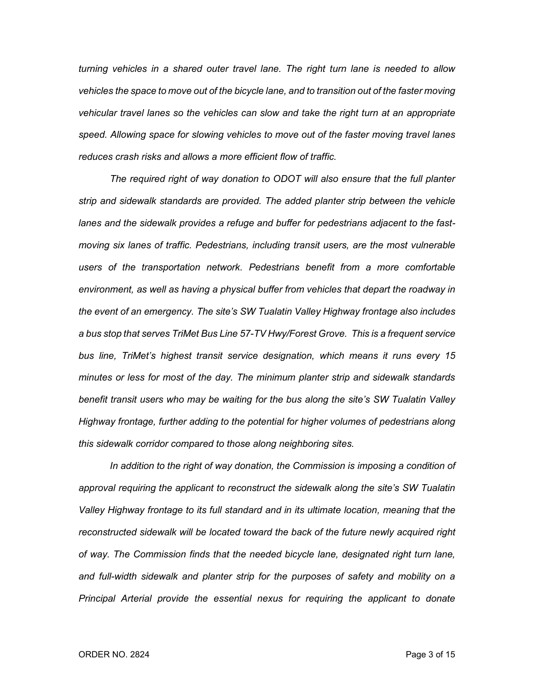*turning vehicles in a shared outer travel lane. The right turn lane is needed to allow vehicles the space to move out of the bicycle lane, and to transition out of the faster moving vehicular travel lanes so the vehicles can slow and take the right turn at an appropriate speed. Allowing space for slowing vehicles to move out of the faster moving travel lanes reduces crash risks and allows a more efficient flow of traffic.*

*The required right of way donation to ODOT will also ensure that the full planter strip and sidewalk standards are provided. The added planter strip between the vehicle lanes and the sidewalk provides a refuge and buffer for pedestrians adjacent to the fastmoving six lanes of traffic. Pedestrians, including transit users, are the most vulnerable users of the transportation network. Pedestrians benefit from a more comfortable environment, as well as having a physical buffer from vehicles that depart the roadway in the event of an emergency. The site's SW Tualatin Valley Highway frontage also includes a bus stop that serves TriMet Bus Line 57-TV Hwy/Forest Grove. This is a frequent service bus line, TriMet's highest transit service designation, which means it runs every 15 minutes or less for most of the day. The minimum planter strip and sidewalk standards benefit transit users who may be waiting for the bus along the site's SW Tualatin Valley Highway frontage, further adding to the potential for higher volumes of pedestrians along this sidewalk corridor compared to those along neighboring sites.*

*In addition to the right of way donation, the Commission is imposing a condition of approval requiring the applicant to reconstruct the sidewalk along the site's SW Tualatin Valley Highway frontage to its full standard and in its ultimate location, meaning that the reconstructed sidewalk will be located toward the back of the future newly acquired right of way. The Commission finds that the needed bicycle lane, designated right turn lane, and full-width sidewalk and planter strip for the purposes of safety and mobility on a Principal Arterial provide the essential nexus for requiring the applicant to donate*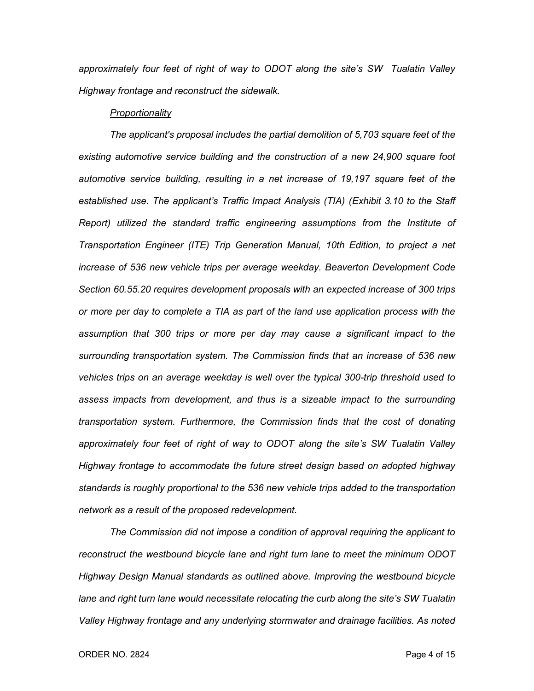*approximately four feet of right of way to ODOT along the site's SW Tualatin Valley Highway frontage and reconstruct the sidewalk.*

#### *Proportionality*

*The applicant's proposal includes the partial demolition of 5,703 square feet of the existing automotive service building and the construction of a new 24,900 square foot automotive service building, resulting in a net increase of 19,197 square feet of the established use. The applicant's Traffic Impact Analysis (TIA) (Exhibit 3.10 to the Staff Report) utilized the standard traffic engineering assumptions from the Institute of Transportation Engineer (ITE) Trip Generation Manual, 10th Edition, to project a net increase of 536 new vehicle trips per average weekday. Beaverton Development Code Section 60.55.20 requires development proposals with an expected increase of 300 trips or more per day to complete a TIA as part of the land use application process with the assumption that 300 trips or more per day may cause a significant impact to the surrounding transportation system. The Commission finds that an increase of 536 new vehicles trips on an average weekday is well over the typical 300-trip threshold used to assess impacts from development, and thus is a sizeable impact to the surrounding transportation system. Furthermore, the Commission finds that the cost of donating approximately four feet of right of way to ODOT along the site's SW Tualatin Valley Highway frontage to accommodate the future street design based on adopted highway standards is roughly proportional to the 536 new vehicle trips added to the transportation network as a result of the proposed redevelopment.*

*The Commission did not impose a condition of approval requiring the applicant to reconstruct the westbound bicycle lane and right turn lane to meet the minimum ODOT Highway Design Manual standards as outlined above. Improving the westbound bicycle lane and right turn lane would necessitate relocating the curb along the site's SW Tualatin Valley Highway frontage and any underlying stormwater and drainage facilities. As noted*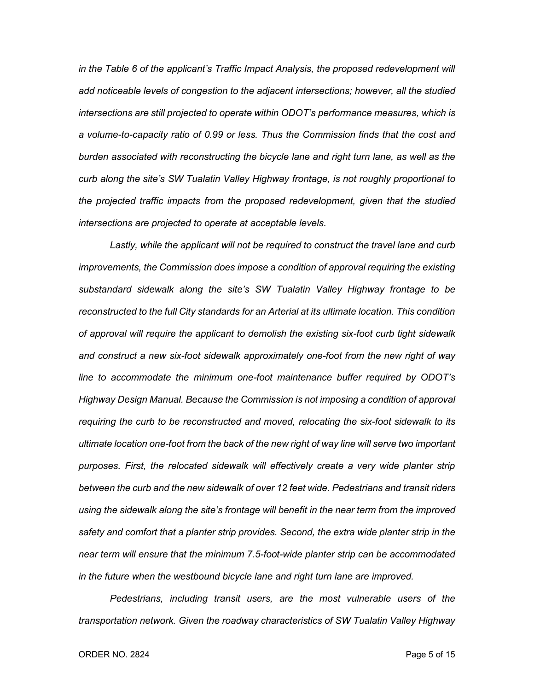*in the Table 6 of the applicant's Traffic Impact Analysis, the proposed redevelopment will add noticeable levels of congestion to the adjacent intersections; however, all the studied intersections are still projected to operate within ODOT's performance measures, which is a volume-to-capacity ratio of 0.99 or less. Thus the Commission finds that the cost and burden associated with reconstructing the bicycle lane and right turn lane, as well as the curb along the site's SW Tualatin Valley Highway frontage, is not roughly proportional to the projected traffic impacts from the proposed redevelopment, given that the studied intersections are projected to operate at acceptable levels.*

Lastly, while the applicant will not be required to construct the travel lane and curb *improvements, the Commission does impose a condition of approval requiring the existing substandard sidewalk along the site's SW Tualatin Valley Highway frontage to be reconstructed to the full City standards for an Arterial at its ultimate location. This condition of approval will require the applicant to demolish the existing six-foot curb tight sidewalk and construct a new six-foot sidewalk approximately one-foot from the new right of way line to accommodate the minimum one-foot maintenance buffer required by ODOT's Highway Design Manual. Because the Commission is not imposing a condition of approval requiring the curb to be reconstructed and moved, relocating the six-foot sidewalk to its ultimate location one-foot from the back of the new right of way line will serve two important purposes. First, the relocated sidewalk will effectively create a very wide planter strip between the curb and the new sidewalk of over 12 feet wide. Pedestrians and transit riders*  using the sidewalk along the site's frontage will benefit in the near term from the improved *safety and comfort that a planter strip provides. Second, the extra wide planter strip in the near term will ensure that the minimum 7.5-foot-wide planter strip can be accommodated in the future when the westbound bicycle lane and right turn lane are improved.*

*Pedestrians, including transit users, are the most vulnerable users of the transportation network. Given the roadway characteristics of SW Tualatin Valley Highway*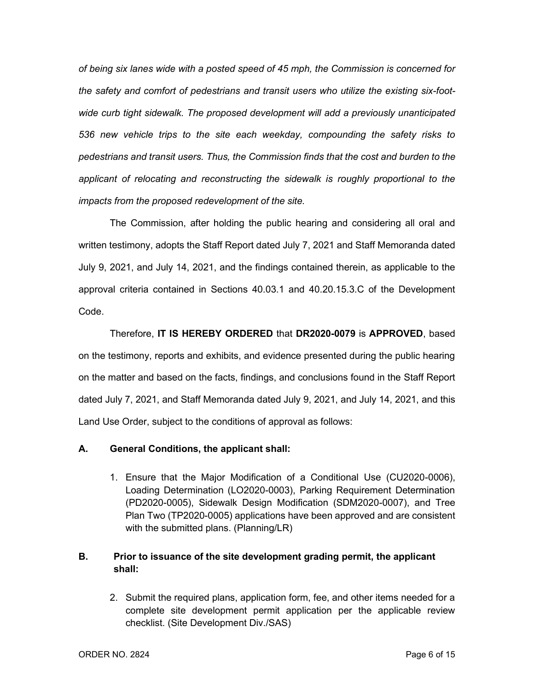*of being six lanes wide with a posted speed of 45 mph, the Commission is concerned for the safety and comfort of pedestrians and transit users who utilize the existing six-footwide curb tight sidewalk. The proposed development will add a previously unanticipated 536 new vehicle trips to the site each weekday, compounding the safety risks to pedestrians and transit users. Thus, the Commission finds that the cost and burden to the applicant of relocating and reconstructing the sidewalk is roughly proportional to the impacts from the proposed redevelopment of the site.*

The Commission, after holding the public hearing and considering all oral and written testimony, adopts the Staff Report dated July 7, 2021 and Staff Memoranda dated July 9, 2021, and July 14, 2021, and the findings contained therein, as applicable to the approval criteria contained in Sections 40.03.1 and 40.20.15.3.C of the Development Code.

Therefore, **IT IS HEREBY ORDERED** that **DR2020-0079** is **APPROVED**, based on the testimony, reports and exhibits, and evidence presented during the public hearing on the matter and based on the facts, findings, and conclusions found in the Staff Report dated July 7, 2021, and Staff Memoranda dated July 9, 2021, and July 14, 2021, and this Land Use Order, subject to the conditions of approval as follows:

## **A. General Conditions, the applicant shall:**

1. Ensure that the Major Modification of a Conditional Use (CU2020-0006), Loading Determination (LO2020-0003), Parking Requirement Determination (PD2020-0005), Sidewalk Design Modification (SDM2020-0007), and Tree Plan Two (TP2020-0005) applications have been approved and are consistent with the submitted plans. (Planning/LR)

# **B. Prior to issuance of the site development grading permit, the applicant shall:**

2. Submit the required plans, application form, fee, and other items needed for a complete site development permit application per the applicable review checklist. (Site Development Div./SAS)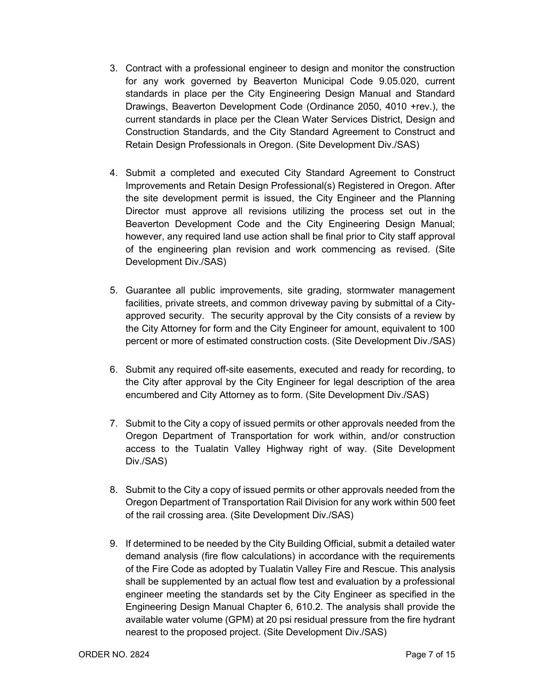- 3. Contract with a professional engineer to design and monitor the construction for any work governed by Beaverton Municipal Code 9.05.020, current standards in place per the City Engineering Design Manual and Standard Drawings, Beaverton Development Code (Ordinance 2050, 4010 +rev.), the current standards in place per the Clean Water Services District, Design and Construction Standards, and the City Standard Agreement to Construct and Retain Design Professionals in Oregon. (Site Development Div./SAS)
- 4. Submit a completed and executed City Standard Agreement to Construct Improvements and Retain Design Professional(s) Registered in Oregon. After the site development permit is issued, the City Engineer and the Planning Director must approve all revisions utilizing the process set out in the Beaverton Development Code and the City Engineering Design Manual; however, any required land use action shall be final prior to City staff approval of the engineering plan revision and work commencing as revised. (Site Development Div./SAS)
- 5. Guarantee all public improvements, site grading, stormwater management facilities, private streets, and common driveway paving by submittal of a Cityapproved security. The security approval by the City consists of a review by the City Attorney for form and the City Engineer for amount, equivalent to 100 percent or more of estimated construction costs. (Site Development Div./SAS)
- 6. Submit any required off-site easements, executed and ready for recording, to the City after approval by the City Engineer for legal description of the area encumbered and City Attorney as to form. (Site Development Div./SAS)
- 7. Submit to the City a copy of issued permits or other approvals needed from the Oregon Department of Transportation for work within, and/or construction access to the Tualatin Valley Highway right of way. (Site Development Div./SAS)
- 8. Submit to the City a copy of issued permits or other approvals needed from the Oregon Department of Transportation Rail Division for any work within 500 feet of the rail crossing area. (Site Development Div./SAS)
- 9. If determined to be needed by the City Building Official, submit a detailed water demand analysis (fire flow calculations) in accordance with the requirements of the Fire Code as adopted by Tualatin Valley Fire and Rescue. This analysis shall be supplemented by an actual flow test and evaluation by a professional engineer meeting the standards set by the City Engineer as specified in the Engineering Design Manual Chapter 6, 610.2. The analysis shall provide the available water volume (GPM) at 20 psi residual pressure from the fire hydrant nearest to the proposed project. (Site Development Div./SAS)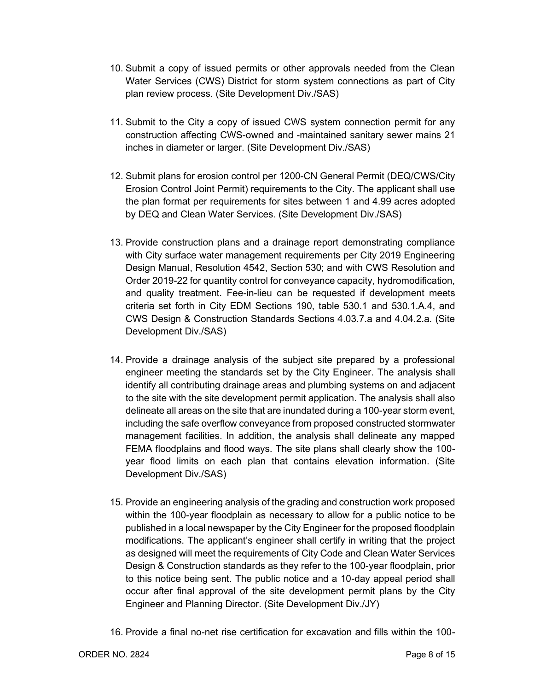- 10. Submit a copy of issued permits or other approvals needed from the Clean Water Services (CWS) District for storm system connections as part of City plan review process. (Site Development Div./SAS)
- 11. Submit to the City a copy of issued CWS system connection permit for any construction affecting CWS-owned and -maintained sanitary sewer mains 21 inches in diameter or larger. (Site Development Div./SAS)
- 12. Submit plans for erosion control per 1200-CN General Permit (DEQ/CWS/City Erosion Control Joint Permit) requirements to the City. The applicant shall use the plan format per requirements for sites between 1 and 4.99 acres adopted by DEQ and Clean Water Services. (Site Development Div./SAS)
- 13. Provide construction plans and a drainage report demonstrating compliance with City surface water management requirements per City 2019 Engineering Design Manual, Resolution 4542, Section 530; and with CWS Resolution and Order 2019-22 for quantity control for conveyance capacity, hydromodification, and quality treatment. Fee-in-lieu can be requested if development meets criteria set forth in City EDM Sections 190, table 530.1 and 530.1.A.4, and CWS Design & Construction Standards Sections 4.03.7.a and 4.04.2.a. (Site Development Div./SAS)
- 14. Provide a drainage analysis of the subject site prepared by a professional engineer meeting the standards set by the City Engineer. The analysis shall identify all contributing drainage areas and plumbing systems on and adjacent to the site with the site development permit application. The analysis shall also delineate all areas on the site that are inundated during a 100-year storm event, including the safe overflow conveyance from proposed constructed stormwater management facilities. In addition, the analysis shall delineate any mapped FEMA floodplains and flood ways. The site plans shall clearly show the 100 year flood limits on each plan that contains elevation information. (Site Development Div./SAS)
- 15. Provide an engineering analysis of the grading and construction work proposed within the 100-year floodplain as necessary to allow for a public notice to be published in a local newspaper by the City Engineer for the proposed floodplain modifications. The applicant's engineer shall certify in writing that the project as designed will meet the requirements of City Code and Clean Water Services Design & Construction standards as they refer to the 100-year floodplain, prior to this notice being sent. The public notice and a 10-day appeal period shall occur after final approval of the site development permit plans by the City Engineer and Planning Director. (Site Development Div./JY)
- 16. Provide a final no-net rise certification for excavation and fills within the 100-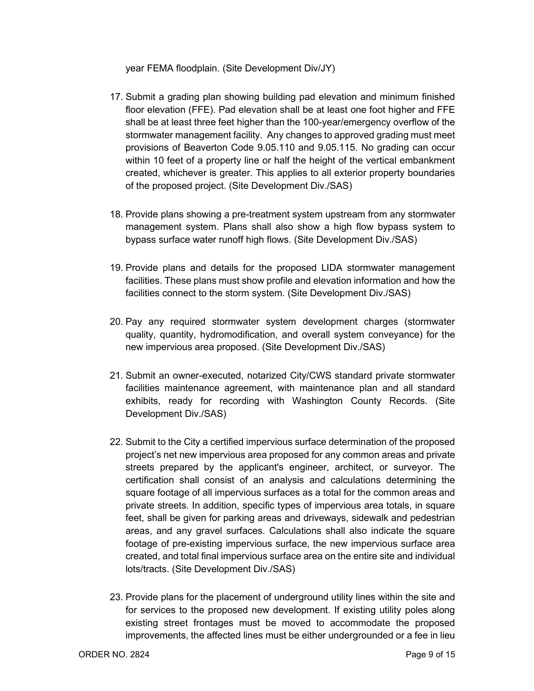year FEMA floodplain. (Site Development Div/JY)

- 17. Submit a grading plan showing building pad elevation and minimum finished floor elevation (FFE). Pad elevation shall be at least one foot higher and FFE shall be at least three feet higher than the 100-year/emergency overflow of the stormwater management facility. Any changes to approved grading must meet provisions of Beaverton Code 9.05.110 and 9.05.115. No grading can occur within 10 feet of a property line or half the height of the vertical embankment created, whichever is greater. This applies to all exterior property boundaries of the proposed project. (Site Development Div./SAS)
- 18. Provide plans showing a pre-treatment system upstream from any stormwater management system. Plans shall also show a high flow bypass system to bypass surface water runoff high flows. (Site Development Div./SAS)
- 19. Provide plans and details for the proposed LIDA stormwater management facilities. These plans must show profile and elevation information and how the facilities connect to the storm system. (Site Development Div./SAS)
- 20. Pay any required stormwater system development charges (stormwater quality, quantity, hydromodification, and overall system conveyance) for the new impervious area proposed. (Site Development Div./SAS)
- 21. Submit an owner-executed, notarized City/CWS standard private stormwater facilities maintenance agreement, with maintenance plan and all standard exhibits, ready for recording with Washington County Records. (Site Development Div./SAS)
- 22. Submit to the City a certified impervious surface determination of the proposed project's net new impervious area proposed for any common areas and private streets prepared by the applicant's engineer, architect, or surveyor. The certification shall consist of an analysis and calculations determining the square footage of all impervious surfaces as a total for the common areas and private streets. In addition, specific types of impervious area totals, in square feet, shall be given for parking areas and driveways, sidewalk and pedestrian areas, and any gravel surfaces. Calculations shall also indicate the square footage of pre-existing impervious surface, the new impervious surface area created, and total final impervious surface area on the entire site and individual lots/tracts. (Site Development Div./SAS)
- 23. Provide plans for the placement of underground utility lines within the site and for services to the proposed new development. If existing utility poles along existing street frontages must be moved to accommodate the proposed improvements, the affected lines must be either undergrounded or a fee in lieu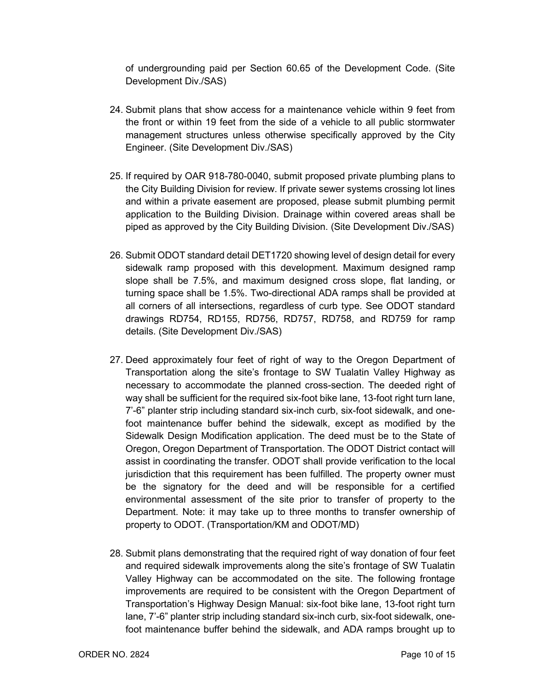of undergrounding paid per Section 60.65 of the Development Code. (Site Development Div./SAS)

- 24. Submit plans that show access for a maintenance vehicle within 9 feet from the front or within 19 feet from the side of a vehicle to all public stormwater management structures unless otherwise specifically approved by the City Engineer. (Site Development Div./SAS)
- 25. If required by OAR 918-780-0040, submit proposed private plumbing plans to the City Building Division for review. If private sewer systems crossing lot lines and within a private easement are proposed, please submit plumbing permit application to the Building Division. Drainage within covered areas shall be piped as approved by the City Building Division. (Site Development Div./SAS)
- 26. Submit ODOT standard detail DET1720 showing level of design detail for every sidewalk ramp proposed with this development. Maximum designed ramp slope shall be 7.5%, and maximum designed cross slope, flat landing, or turning space shall be 1.5%. Two-directional ADA ramps shall be provided at all corners of all intersections, regardless of curb type. See ODOT standard drawings RD754, RD155, RD756, RD757, RD758, and RD759 for ramp details. (Site Development Div./SAS)
- 27. Deed approximately four feet of right of way to the Oregon Department of Transportation along the site's frontage to SW Tualatin Valley Highway as necessary to accommodate the planned cross-section. The deeded right of way shall be sufficient for the required six-foot bike lane, 13-foot right turn lane, 7'-6" planter strip including standard six-inch curb, six-foot sidewalk, and onefoot maintenance buffer behind the sidewalk, except as modified by the Sidewalk Design Modification application. The deed must be to the State of Oregon, Oregon Department of Transportation. The ODOT District contact will assist in coordinating the transfer. ODOT shall provide verification to the local jurisdiction that this requirement has been fulfilled. The property owner must be the signatory for the deed and will be responsible for a certified environmental assessment of the site prior to transfer of property to the Department. Note: it may take up to three months to transfer ownership of property to ODOT. (Transportation/KM and ODOT/MD)
- 28. Submit plans demonstrating that the required right of way donation of four feet and required sidewalk improvements along the site's frontage of SW Tualatin Valley Highway can be accommodated on the site. The following frontage improvements are required to be consistent with the Oregon Department of Transportation's Highway Design Manual: six-foot bike lane, 13-foot right turn lane, 7'-6" planter strip including standard six-inch curb, six-foot sidewalk, onefoot maintenance buffer behind the sidewalk, and ADA ramps brought up to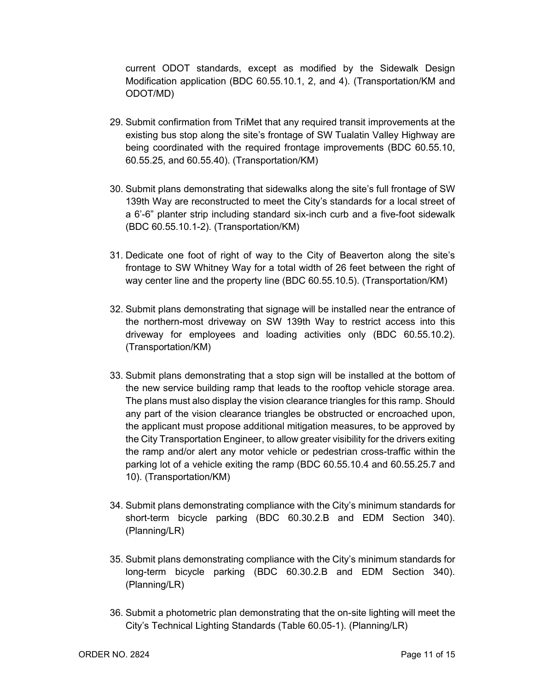current ODOT standards, except as modified by the Sidewalk Design Modification application (BDC 60.55.10.1, 2, and 4). (Transportation/KM and ODOT/MD)

- 29. Submit confirmation from TriMet that any required transit improvements at the existing bus stop along the site's frontage of SW Tualatin Valley Highway are being coordinated with the required frontage improvements (BDC 60.55.10, 60.55.25, and 60.55.40). (Transportation/KM)
- 30. Submit plans demonstrating that sidewalks along the site's full frontage of SW 139th Way are reconstructed to meet the City's standards for a local street of a 6'-6" planter strip including standard six-inch curb and a five-foot sidewalk (BDC 60.55.10.1-2). (Transportation/KM)
- 31. Dedicate one foot of right of way to the City of Beaverton along the site's frontage to SW Whitney Way for a total width of 26 feet between the right of way center line and the property line (BDC 60.55.10.5). (Transportation/KM)
- 32. Submit plans demonstrating that signage will be installed near the entrance of the northern-most driveway on SW 139th Way to restrict access into this driveway for employees and loading activities only (BDC 60.55.10.2). (Transportation/KM)
- 33. Submit plans demonstrating that a stop sign will be installed at the bottom of the new service building ramp that leads to the rooftop vehicle storage area. The plans must also display the vision clearance triangles for this ramp. Should any part of the vision clearance triangles be obstructed or encroached upon, the applicant must propose additional mitigation measures, to be approved by the City Transportation Engineer, to allow greater visibility for the drivers exiting the ramp and/or alert any motor vehicle or pedestrian cross-traffic within the parking lot of a vehicle exiting the ramp (BDC 60.55.10.4 and 60.55.25.7 and 10). (Transportation/KM)
- 34. Submit plans demonstrating compliance with the City's minimum standards for short-term bicycle parking (BDC 60.30.2.B and EDM Section 340). (Planning/LR)
- 35. Submit plans demonstrating compliance with the City's minimum standards for long-term bicycle parking (BDC 60.30.2.B and EDM Section 340). (Planning/LR)
- 36. Submit a photometric plan demonstrating that the on-site lighting will meet the City's Technical Lighting Standards (Table 60.05-1). (Planning/LR)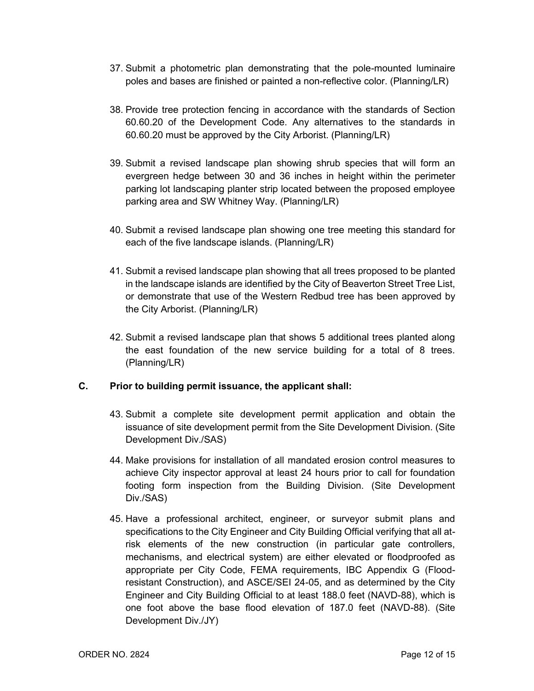- 37. Submit a photometric plan demonstrating that the pole-mounted luminaire poles and bases are finished or painted a non-reflective color. (Planning/LR)
- 38. Provide tree protection fencing in accordance with the standards of Section 60.60.20 of the Development Code. Any alternatives to the standards in 60.60.20 must be approved by the City Arborist. (Planning/LR)
- 39. Submit a revised landscape plan showing shrub species that will form an evergreen hedge between 30 and 36 inches in height within the perimeter parking lot landscaping planter strip located between the proposed employee parking area and SW Whitney Way. (Planning/LR)
- 40. Submit a revised landscape plan showing one tree meeting this standard for each of the five landscape islands. (Planning/LR)
- 41. Submit a revised landscape plan showing that all trees proposed to be planted in the landscape islands are identified by the City of Beaverton Street Tree List, or demonstrate that use of the Western Redbud tree has been approved by the City Arborist. (Planning/LR)
- 42. Submit a revised landscape plan that shows 5 additional trees planted along the east foundation of the new service building for a total of 8 trees. (Planning/LR)

## **C. Prior to building permit issuance, the applicant shall:**

- 43. Submit a complete site development permit application and obtain the issuance of site development permit from the Site Development Division. (Site Development Div./SAS)
- 44. Make provisions for installation of all mandated erosion control measures to achieve City inspector approval at least 24 hours prior to call for foundation footing form inspection from the Building Division. (Site Development Div./SAS)
- 45. Have a professional architect, engineer, or surveyor submit plans and specifications to the City Engineer and City Building Official verifying that all atrisk elements of the new construction (in particular gate controllers, mechanisms, and electrical system) are either elevated or floodproofed as appropriate per City Code, FEMA requirements, IBC Appendix G (Floodresistant Construction), and ASCE/SEI 24-05, and as determined by the City Engineer and City Building Official to at least 188.0 feet (NAVD-88), which is one foot above the base flood elevation of 187.0 feet (NAVD-88). (Site Development Div./JY)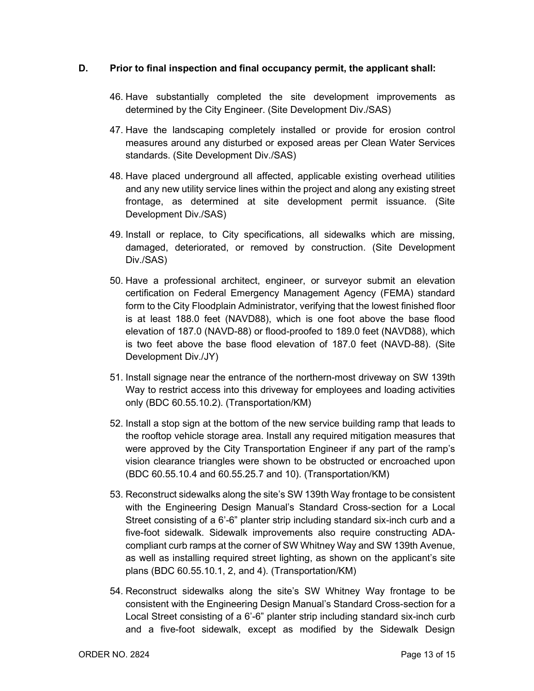## **D. Prior to final inspection and final occupancy permit, the applicant shall:**

- 46. Have substantially completed the site development improvements as determined by the City Engineer. (Site Development Div./SAS)
- 47. Have the landscaping completely installed or provide for erosion control measures around any disturbed or exposed areas per Clean Water Services standards. (Site Development Div./SAS)
- 48. Have placed underground all affected, applicable existing overhead utilities and any new utility service lines within the project and along any existing street frontage, as determined at site development permit issuance. (Site Development Div./SAS)
- 49. Install or replace, to City specifications, all sidewalks which are missing, damaged, deteriorated, or removed by construction. (Site Development Div./SAS)
- 50. Have a professional architect, engineer, or surveyor submit an elevation certification on Federal Emergency Management Agency (FEMA) standard form to the City Floodplain Administrator, verifying that the lowest finished floor is at least 188.0 feet (NAVD88), which is one foot above the base flood elevation of 187.0 (NAVD-88) or flood-proofed to 189.0 feet (NAVD88), which is two feet above the base flood elevation of 187.0 feet (NAVD-88). (Site Development Div./JY)
- 51. Install signage near the entrance of the northern-most driveway on SW 139th Way to restrict access into this driveway for employees and loading activities only (BDC 60.55.10.2). (Transportation/KM)
- 52. Install a stop sign at the bottom of the new service building ramp that leads to the rooftop vehicle storage area. Install any required mitigation measures that were approved by the City Transportation Engineer if any part of the ramp's vision clearance triangles were shown to be obstructed or encroached upon (BDC 60.55.10.4 and 60.55.25.7 and 10). (Transportation/KM)
- 53. Reconstruct sidewalks along the site's SW 139th Way frontage to be consistent with the Engineering Design Manual's Standard Cross-section for a Local Street consisting of a 6'-6" planter strip including standard six-inch curb and a five-foot sidewalk. Sidewalk improvements also require constructing ADAcompliant curb ramps at the corner of SW Whitney Way and SW 139th Avenue, as well as installing required street lighting, as shown on the applicant's site plans (BDC 60.55.10.1, 2, and 4). (Transportation/KM)
- 54. Reconstruct sidewalks along the site's SW Whitney Way frontage to be consistent with the Engineering Design Manual's Standard Cross-section for a Local Street consisting of a 6'-6" planter strip including standard six-inch curb and a five-foot sidewalk, except as modified by the Sidewalk Design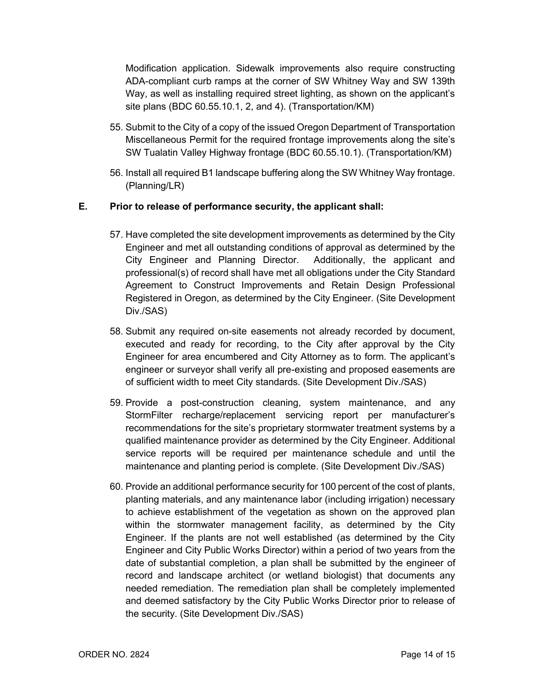Modification application. Sidewalk improvements also require constructing ADA-compliant curb ramps at the corner of SW Whitney Way and SW 139th Way, as well as installing required street lighting, as shown on the applicant's site plans (BDC 60.55.10.1, 2, and 4). (Transportation/KM)

- 55. Submit to the City of a copy of the issued Oregon Department of Transportation Miscellaneous Permit for the required frontage improvements along the site's SW Tualatin Valley Highway frontage (BDC 60.55.10.1). (Transportation/KM)
- 56. Install all required B1 landscape buffering along the SW Whitney Way frontage. (Planning/LR)

## **E. Prior to release of performance security, the applicant shall:**

- 57. Have completed the site development improvements as determined by the City Engineer and met all outstanding conditions of approval as determined by the City Engineer and Planning Director. Additionally, the applicant and professional(s) of record shall have met all obligations under the City Standard Agreement to Construct Improvements and Retain Design Professional Registered in Oregon, as determined by the City Engineer. (Site Development Div./SAS)
- 58. Submit any required on-site easements not already recorded by document, executed and ready for recording, to the City after approval by the City Engineer for area encumbered and City Attorney as to form. The applicant's engineer or surveyor shall verify all pre-existing and proposed easements are of sufficient width to meet City standards. (Site Development Div./SAS)
- 59. Provide a post-construction cleaning, system maintenance, and any StormFilter recharge/replacement servicing report per manufacturer's recommendations for the site's proprietary stormwater treatment systems by a qualified maintenance provider as determined by the City Engineer. Additional service reports will be required per maintenance schedule and until the maintenance and planting period is complete. (Site Development Div./SAS)
- 60. Provide an additional performance security for 100 percent of the cost of plants, planting materials, and any maintenance labor (including irrigation) necessary to achieve establishment of the vegetation as shown on the approved plan within the stormwater management facility, as determined by the City Engineer. If the plants are not well established (as determined by the City Engineer and City Public Works Director) within a period of two years from the date of substantial completion, a plan shall be submitted by the engineer of record and landscape architect (or wetland biologist) that documents any needed remediation. The remediation plan shall be completely implemented and deemed satisfactory by the City Public Works Director prior to release of the security. (Site Development Div./SAS)